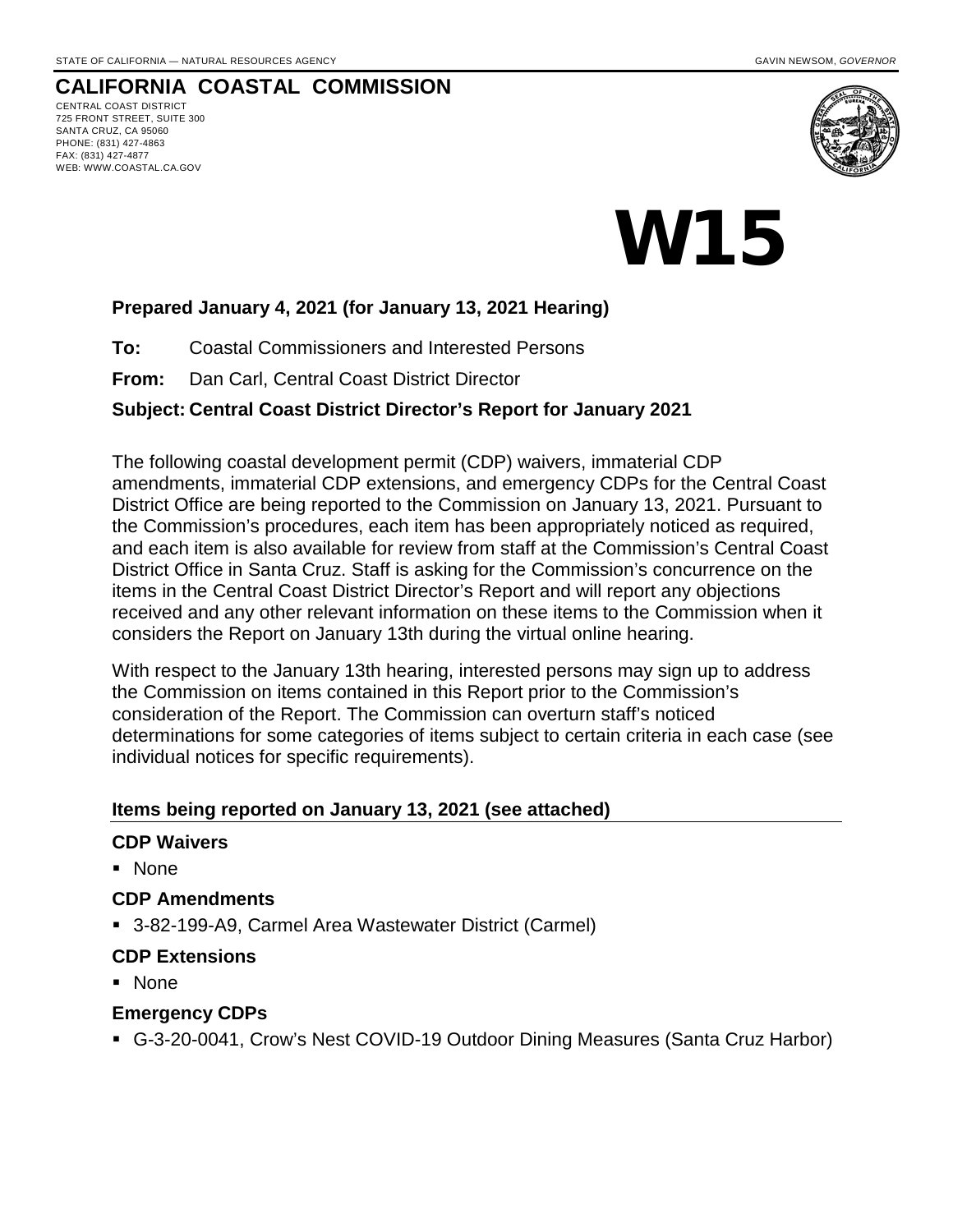CENTRAL COAST DISTRICT 725 FRONT STREET, SUITE 300 SANTA CRUZ, CA 95060 PHONE: (831) 427-4863 FAX: (831) 427-4877 WEB: WWW.COASTAL.CA.GOV



# W15

# **Prepared January 4, 2021 (for January 13, 2021 Hearing)**

**To:** Coastal Commissioners and Interested Persons

**From:** Dan Carl, Central Coast District Director

#### **Subject: Central Coast District Director's Report for January 2021**

The following coastal development permit (CDP) waivers, immaterial CDP amendments, immaterial CDP extensions, and emergency CDPs for the Central Coast District Office are being reported to the Commission on January 13, 2021. Pursuant to the Commission's procedures, each item has been appropriately noticed as required, and each item is also available for review from staff at the Commission's Central Coast District Office in Santa Cruz. Staff is asking for the Commission's concurrence on the items in the Central Coast District Director's Report and will report any objections received and any other relevant information on these items to the Commission when it considers the Report on January 13th during the virtual online hearing.

With respect to the January 13th hearing, interested persons may sign up to address the Commission on items contained in this Report prior to the Commission's consideration of the Report. The Commission can overturn staff's noticed determinations for some categories of items subject to certain criteria in each case (see individual notices for specific requirements).

#### **Items being reported on January 13, 2021 (see attached)**

#### **CDP Waivers**

None

#### **CDP Amendments**

3-82-199-A9, Carmel Area Wastewater District (Carmel)

#### **CDP Extensions**

■ None

#### **Emergency CDPs**

G-3-20-0041, Crow's Nest COVID-19 Outdoor Dining Measures (Santa Cruz Harbor)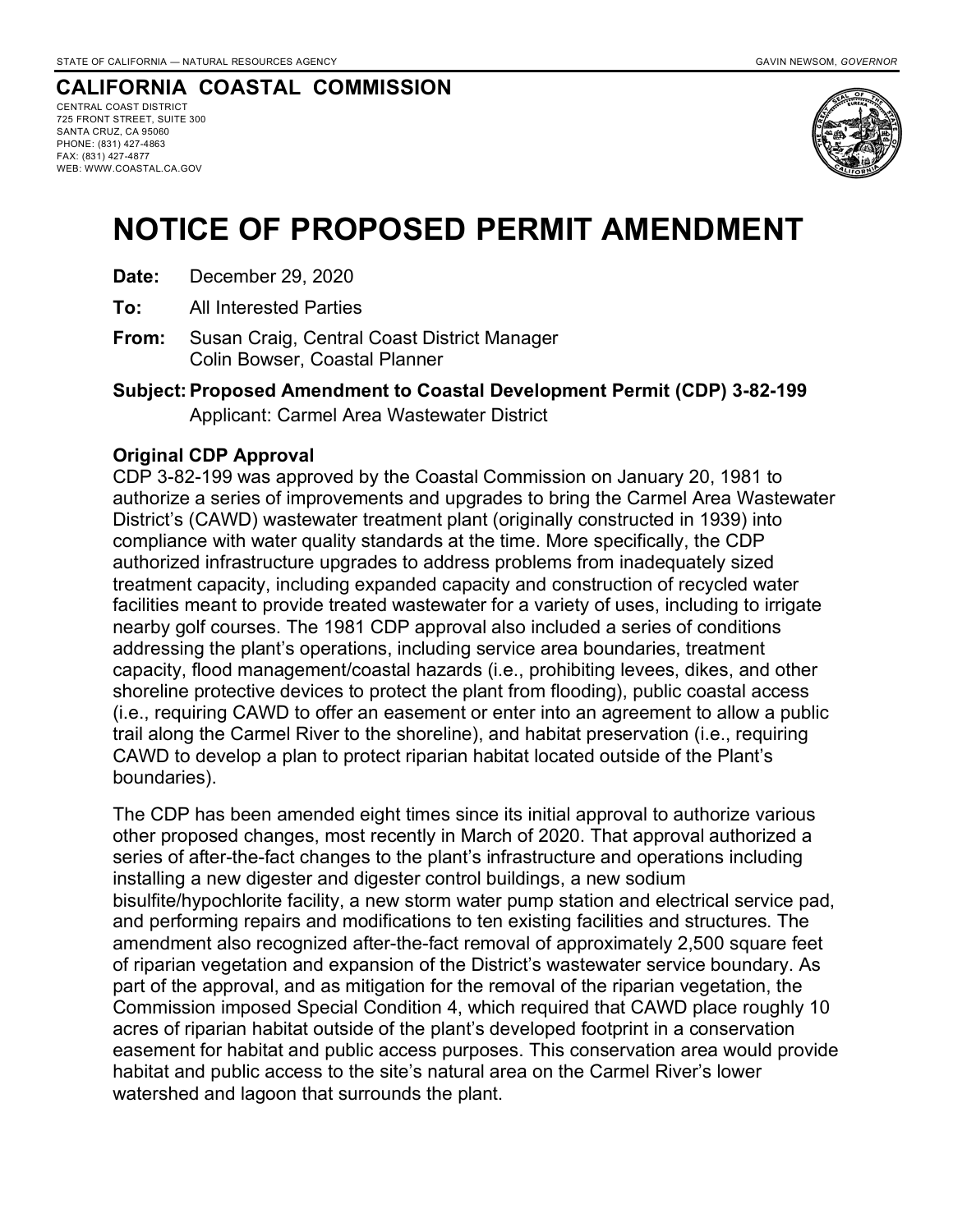CENTRAL COAST DISTRICT 725 FRONT STREET, SUITE 300 SANTA CRUZ, CA 95060 PHONE: (831) 427-4863 FAX: (831) 427-4877 WEB: WWW.COASTAL.CA.GOV



# **NOTICE OF PROPOSED PERMIT AMENDMENT**

- **Date:** December 29, 2020
- **To:** All Interested Parties
- **From:** Susan Craig, Central Coast District Manager Colin Bowser, Coastal Planner

**Subject: Proposed Amendment to Coastal Development Permit (CDP) 3-82-199** Applicant: Carmel Area Wastewater District

#### **Original CDP Approval**

CDP 3-82-199 was approved by the Coastal Commission on January 20, 1981 to authorize a series of improvements and upgrades to bring the Carmel Area Wastewater District's (CAWD) wastewater treatment plant (originally constructed in 1939) into compliance with water quality standards at the time. More specifically, the CDP authorized infrastructure upgrades to address problems from inadequately sized treatment capacity, including expanded capacity and construction of recycled water facilities meant to provide treated wastewater for a variety of uses, including to irrigate nearby golf courses. The 1981 CDP approval also included a series of conditions addressing the plant's operations, including service area boundaries, treatment capacity, flood management/coastal hazards (i.e., prohibiting levees, dikes, and other shoreline protective devices to protect the plant from flooding), public coastal access (i.e., requiring CAWD to offer an easement or enter into an agreement to allow a public trail along the Carmel River to the shoreline), and habitat preservation (i.e., requiring CAWD to develop a plan to protect riparian habitat located outside of the Plant's boundaries).

The CDP has been amended eight times since its initial approval to authorize various other proposed changes, most recently in March of 2020. That approval authorized a series of after-the-fact changes to the plant's infrastructure and operations including installing a new digester and digester control buildings, a new sodium bisulfite/hypochlorite facility, a new storm water pump station and electrical service pad, and performing repairs and modifications to ten existing facilities and structures. The amendment also recognized after-the-fact removal of approximately 2,500 square feet of riparian vegetation and expansion of the District's wastewater service boundary. As part of the approval, and as mitigation for the removal of the riparian vegetation, the Commission imposed Special Condition 4, which required that CAWD place roughly 10 acres of riparian habitat outside of the plant's developed footprint in a conservation easement for habitat and public access purposes. This conservation area would provide habitat and public access to the site's natural area on the Carmel River's lower watershed and lagoon that surrounds the plant.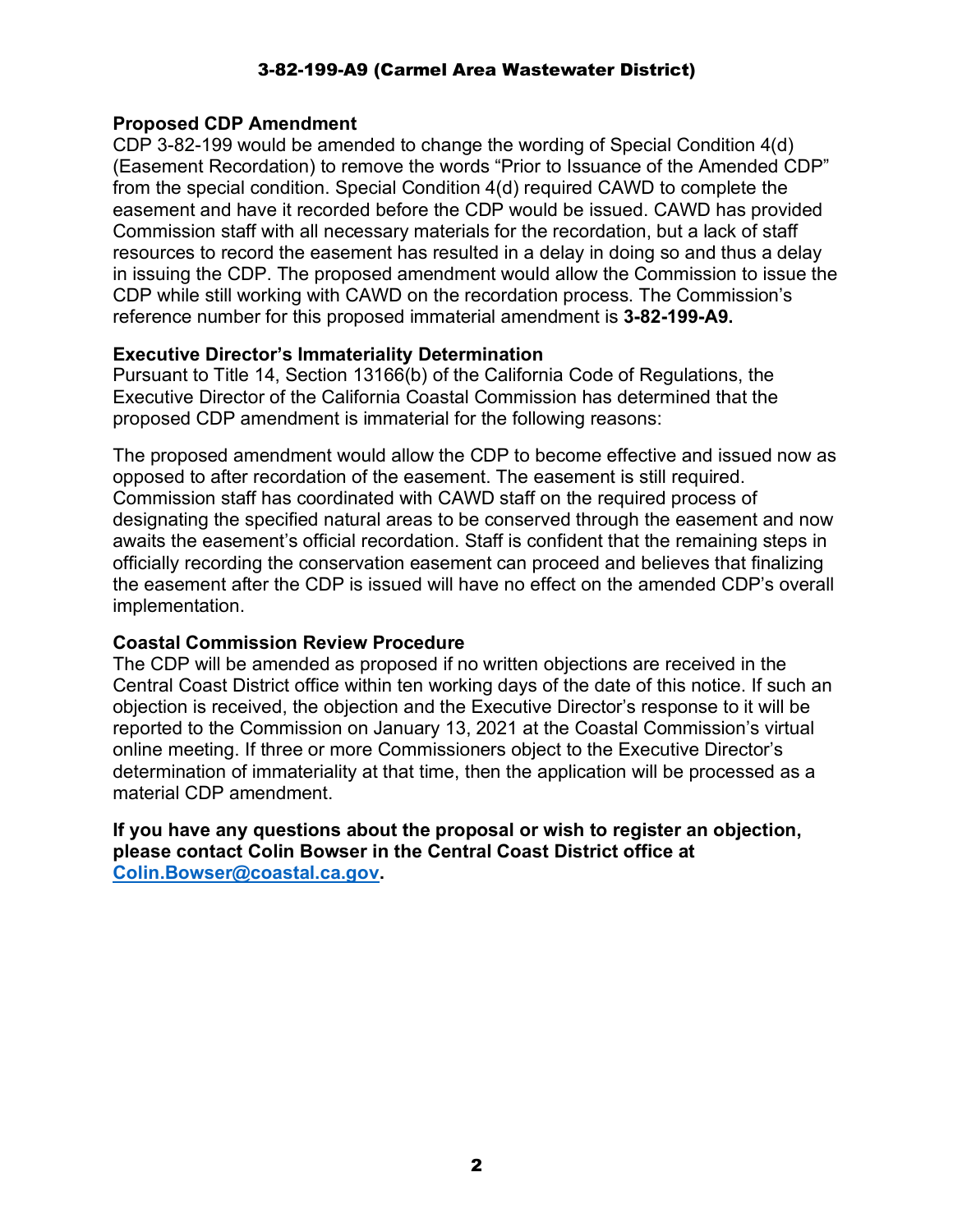#### 3-82-199-A9 (Carmel Area Wastewater District)

#### **Proposed CDP Amendment**

CDP 3-82-199 would be amended to change the wording of Special Condition 4(d) (Easement Recordation) to remove the words "Prior to Issuance of the Amended CDP" from the special condition. Special Condition 4(d) required CAWD to complete the easement and have it recorded before the CDP would be issued. CAWD has provided Commission staff with all necessary materials for the recordation, but a lack of staff resources to record the easement has resulted in a delay in doing so and thus a delay in issuing the CDP. The proposed amendment would allow the Commission to issue the CDP while still working with CAWD on the recordation process. The Commission's reference number for this proposed immaterial amendment is **3-82-199-A9.**

#### **Executive Director's Immateriality Determination**

Pursuant to Title 14, Section 13166(b) of the California Code of Regulations, the Executive Director of the California Coastal Commission has determined that the proposed CDP amendment is immaterial for the following reasons:

The proposed amendment would allow the CDP to become effective and issued now as opposed to after recordation of the easement. The easement is still required. Commission staff has coordinated with CAWD staff on the required process of designating the specified natural areas to be conserved through the easement and now awaits the easement's official recordation. Staff is confident that the remaining steps in officially recording the conservation easement can proceed and believes that finalizing the easement after the CDP is issued will have no effect on the amended CDP's overall implementation.

#### **Coastal Commission Review Procedure**

The CDP will be amended as proposed if no written objections are received in the Central Coast District office within ten working days of the date of this notice. If such an objection is received, the objection and the Executive Director's response to it will be reported to the Commission on January 13, 2021 at the Coastal Commission's virtual online meeting. If three or more Commissioners object to the Executive Director's determination of immateriality at that time, then the application will be processed as a material CDP amendment.

**If you have any questions about the proposal or wish to register an objection, please contact Colin Bowser in the Central Coast District office at Colin.Bowser@coastal.ca.gov.**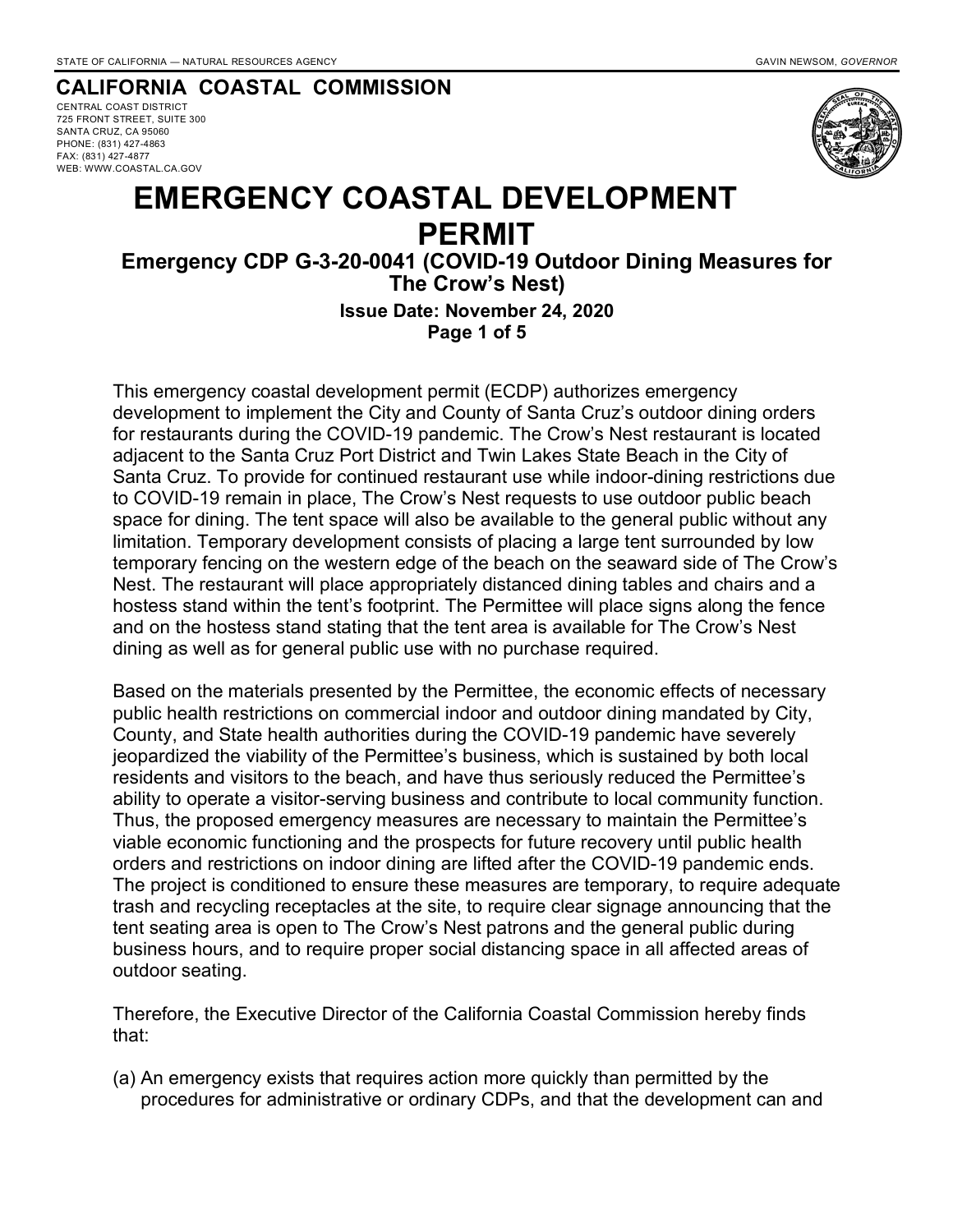CENTRAL COAST DISTRICT 725 FRONT STREET, SUITE 300 SANTA CRUZ, CA 95060 PHONE: (831) 427-4863 FAX: (831) 427-4877 WEB: WWW.COASTAL.CA.GOV



# **EMERGENCY COASTAL DEVELOPMENT PERMIT**

# **Emergency CDP G-3-20-0041 (COVID-19 Outdoor Dining Measures for The Crow's Nest)**

**Issue Date: November 24, 2020 Page 1 of 5**

This emergency coastal development permit (ECDP) authorizes emergency development to implement the City and County of Santa Cruz's outdoor dining orders for restaurants during the COVID-19 pandemic. The Crow's Nest restaurant is located adjacent to the Santa Cruz Port District and Twin Lakes State Beach in the City of Santa Cruz. To provide for continued restaurant use while indoor-dining restrictions due to COVID-19 remain in place, The Crow's Nest requests to use outdoor public beach space for dining. The tent space will also be available to the general public without any limitation. Temporary development consists of placing a large tent surrounded by low temporary fencing on the western edge of the beach on the seaward side of The Crow's Nest. The restaurant will place appropriately distanced dining tables and chairs and a hostess stand within the tent's footprint. The Permittee will place signs along the fence and on the hostess stand stating that the tent area is available for The Crow's Nest dining as well as for general public use with no purchase required.

Based on the materials presented by the Permittee, the economic effects of necessary public health restrictions on commercial indoor and outdoor dining mandated by City, County, and State health authorities during the COVID-19 pandemic have severely jeopardized the viability of the Permittee's business, which is sustained by both local residents and visitors to the beach, and have thus seriously reduced the Permittee's ability to operate a visitor-serving business and contribute to local community function. Thus, the proposed emergency measures are necessary to maintain the Permittee's viable economic functioning and the prospects for future recovery until public health orders and restrictions on indoor dining are lifted after the COVID-19 pandemic ends. The project is conditioned to ensure these measures are temporary, to require adequate trash and recycling receptacles at the site, to require clear signage announcing that the tent seating area is open to The Crow's Nest patrons and the general public during business hours, and to require proper social distancing space in all affected areas of outdoor seating.

Therefore, the Executive Director of the California Coastal Commission hereby finds that:

(a) An emergency exists that requires action more quickly than permitted by the procedures for administrative or ordinary CDPs, and that the development can and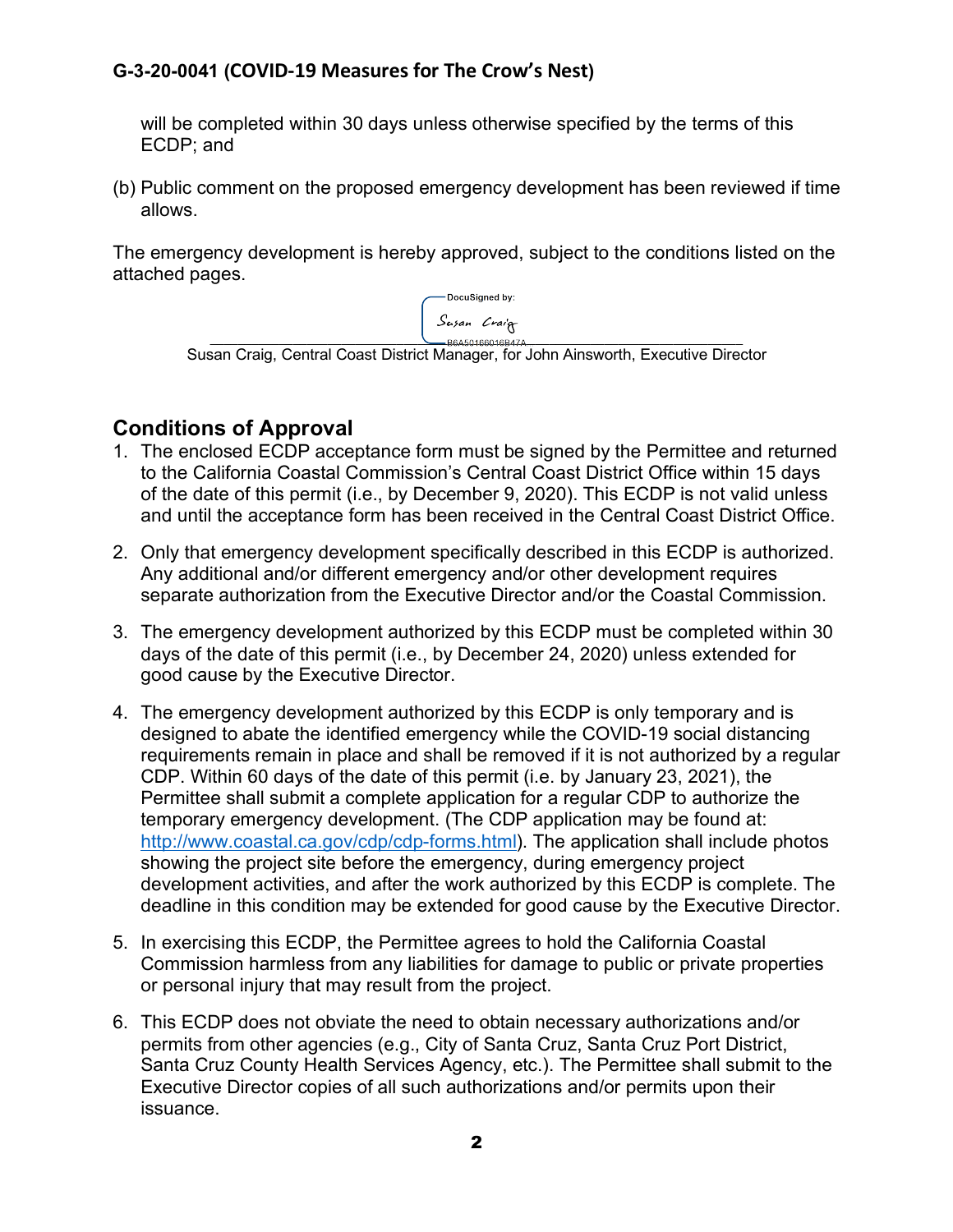will be completed within 30 days unless otherwise specified by the terms of this ECDP; and

(b) Public comment on the proposed emergency development has been reviewed if time allows.

The emergency development is hereby approved, subject to the conditions listed on the attached pages.

> DocuSigned by: Susan Craig  $RRA5016R016R17A$

Susan Craig, Central Coast District Manager, for John Ainsworth, Executive Director

# **Conditions of Approval**

- 1. The enclosed ECDP acceptance form must be signed by the Permittee and returned to the California Coastal Commission's Central Coast District Office within 15 days of the date of this permit (i.e., by December 9, 2020). This ECDP is not valid unless and until the acceptance form has been received in the Central Coast District Office.
- 2. Only that emergency development specifically described in this ECDP is authorized. Any additional and/or different emergency and/or other development requires separate authorization from the Executive Director and/or the Coastal Commission.
- 3. The emergency development authorized by this ECDP must be completed within 30 days of the date of this permit (i.e., by December 24, 2020) unless extended for good cause by the Executive Director.
- 4. The emergency development authorized by this ECDP is only temporary and is designed to abate the identified emergency while the COVID-19 social distancing requirements remain in place and shall be removed if it is not authorized by a regular CDP. Within 60 days of the date of this permit (i.e. by January 23, 2021), the Permittee shall submit a complete application for a regular CDP to authorize the temporary emergency development. (The CDP application may be found at: http://www.coastal.ca.gov/cdp/cdp-forms.html). The application shall include photos showing the project site before the emergency, during emergency project development activities, and after the work authorized by this ECDP is complete. The deadline in this condition may be extended for good cause by the Executive Director.
- 5. In exercising this ECDP, the Permittee agrees to hold the California Coastal Commission harmless from any liabilities for damage to public or private properties or personal injury that may result from the project.
- 6. This ECDP does not obviate the need to obtain necessary authorizations and/or permits from other agencies (e.g., City of Santa Cruz, Santa Cruz Port District, Santa Cruz County Health Services Agency, etc.). The Permittee shall submit to the Executive Director copies of all such authorizations and/or permits upon their issuance.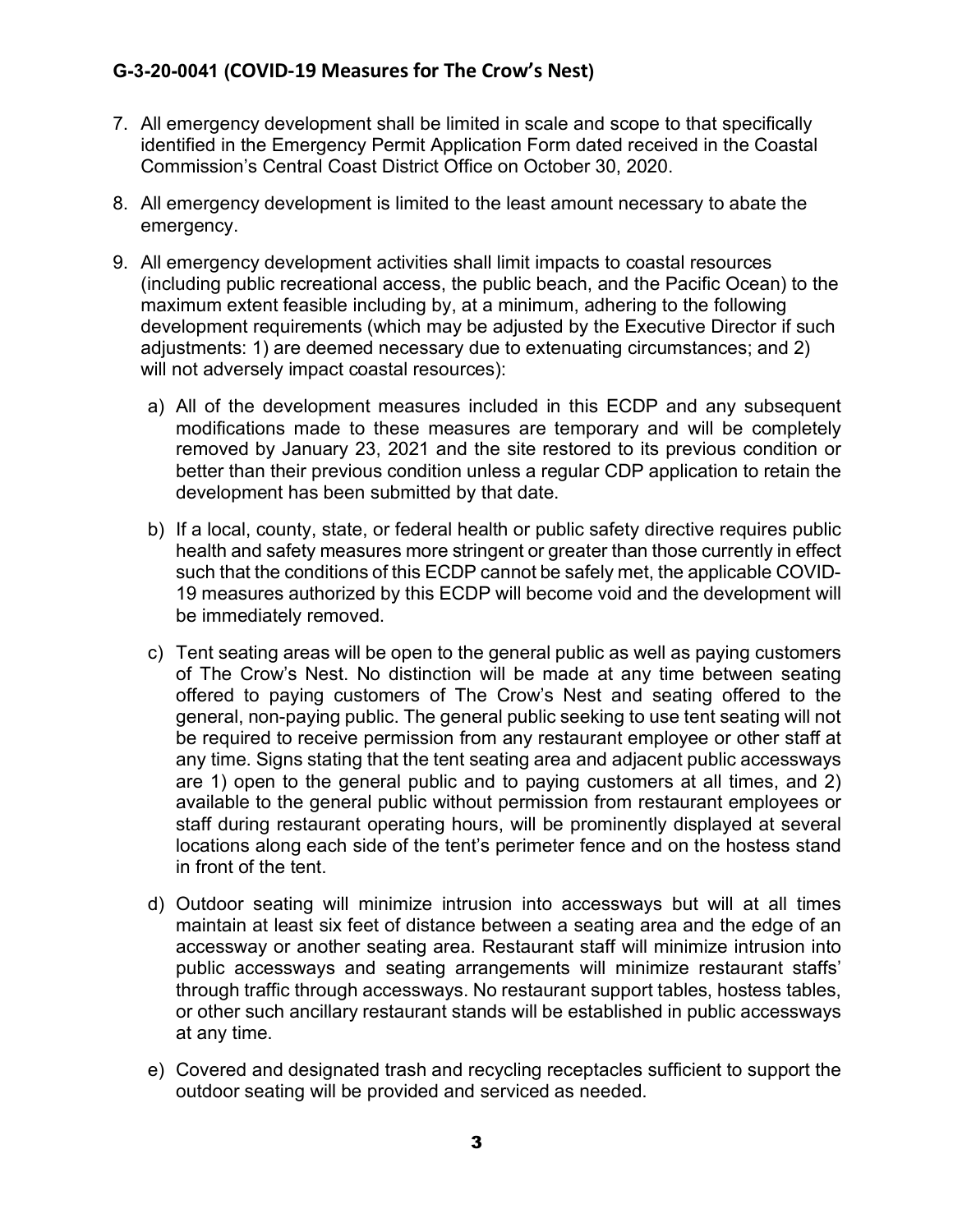- 7. All emergency development shall be limited in scale and scope to that specifically identified in the Emergency Permit Application Form dated received in the Coastal Commission's Central Coast District Office on October 30, 2020.
- 8. All emergency development is limited to the least amount necessary to abate the emergency.
- 9. All emergency development activities shall limit impacts to coastal resources (including public recreational access, the public beach, and the Pacific Ocean) to the maximum extent feasible including by, at a minimum, adhering to the following development requirements (which may be adjusted by the Executive Director if such adjustments: 1) are deemed necessary due to extenuating circumstances; and 2) will not adversely impact coastal resources):
	- a) All of the development measures included in this ECDP and any subsequent modifications made to these measures are temporary and will be completely removed by January 23, 2021 and the site restored to its previous condition or better than their previous condition unless a regular CDP application to retain the development has been submitted by that date.
	- b) If a local, county, state, or federal health or public safety directive requires public health and safety measures more stringent or greater than those currently in effect such that the conditions of this ECDP cannot be safely met, the applicable COVID-19 measures authorized by this ECDP will become void and the development will be immediately removed.
	- c) Tent seating areas will be open to the general public as well as paying customers of The Crow's Nest. No distinction will be made at any time between seating offered to paying customers of The Crow's Nest and seating offered to the general, non-paying public. The general public seeking to use tent seating will not be required to receive permission from any restaurant employee or other staff at any time. Signs stating that the tent seating area and adjacent public accessways are 1) open to the general public and to paying customers at all times, and 2) available to the general public without permission from restaurant employees or staff during restaurant operating hours, will be prominently displayed at several locations along each side of the tent's perimeter fence and on the hostess stand in front of the tent.
	- d) Outdoor seating will minimize intrusion into accessways but will at all times maintain at least six feet of distance between a seating area and the edge of an accessway or another seating area. Restaurant staff will minimize intrusion into public accessways and seating arrangements will minimize restaurant staffs' through traffic through accessways. No restaurant support tables, hostess tables, or other such ancillary restaurant stands will be established in public accessways at any time.
	- e) Covered and designated trash and recycling receptacles sufficient to support the outdoor seating will be provided and serviced as needed.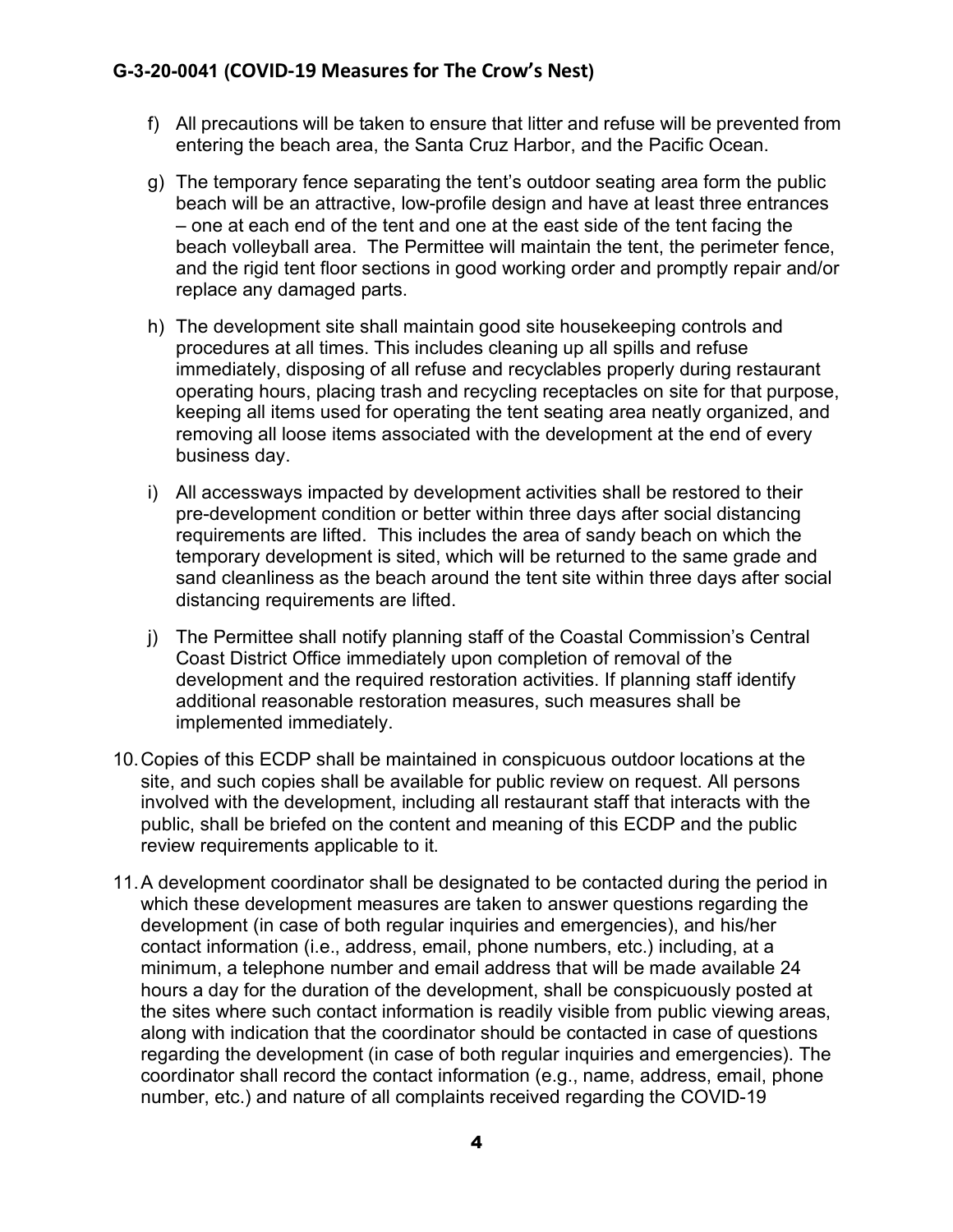- f) All precautions will be taken to ensure that litter and refuse will be prevented from entering the beach area, the Santa Cruz Harbor, and the Pacific Ocean.
- g) The temporary fence separating the tent's outdoor seating area form the public beach will be an attractive, low-profile design and have at least three entrances – one at each end of the tent and one at the east side of the tent facing the beach volleyball area. The Permittee will maintain the tent, the perimeter fence, and the rigid tent floor sections in good working order and promptly repair and/or replace any damaged parts.
- h) The development site shall maintain good site housekeeping controls and procedures at all times. This includes cleaning up all spills and refuse immediately, disposing of all refuse and recyclables properly during restaurant operating hours, placing trash and recycling receptacles on site for that purpose, keeping all items used for operating the tent seating area neatly organized, and removing all loose items associated with the development at the end of every business day.
- i) All accessways impacted by development activities shall be restored to their pre-development condition or better within three days after social distancing requirements are lifted. This includes the area of sandy beach on which the temporary development is sited, which will be returned to the same grade and sand cleanliness as the beach around the tent site within three days after social distancing requirements are lifted.
- j) The Permittee shall notify planning staff of the Coastal Commission's Central Coast District Office immediately upon completion of removal of the development and the required restoration activities. If planning staff identify additional reasonable restoration measures, such measures shall be implemented immediately.
- 10.Copies of this ECDP shall be maintained in conspicuous outdoor locations at the site, and such copies shall be available for public review on request. All persons involved with the development, including all restaurant staff that interacts with the public, shall be briefed on the content and meaning of this ECDP and the public review requirements applicable to it.
- 11.A development coordinator shall be designated to be contacted during the period in which these development measures are taken to answer questions regarding the development (in case of both regular inquiries and emergencies), and his/her contact information (i.e., address, email, phone numbers, etc.) including, at a minimum, a telephone number and email address that will be made available 24 hours a day for the duration of the development, shall be conspicuously posted at the sites where such contact information is readily visible from public viewing areas, along with indication that the coordinator should be contacted in case of questions regarding the development (in case of both regular inquiries and emergencies). The coordinator shall record the contact information (e.g., name, address, email, phone number, etc.) and nature of all complaints received regarding the COVID-19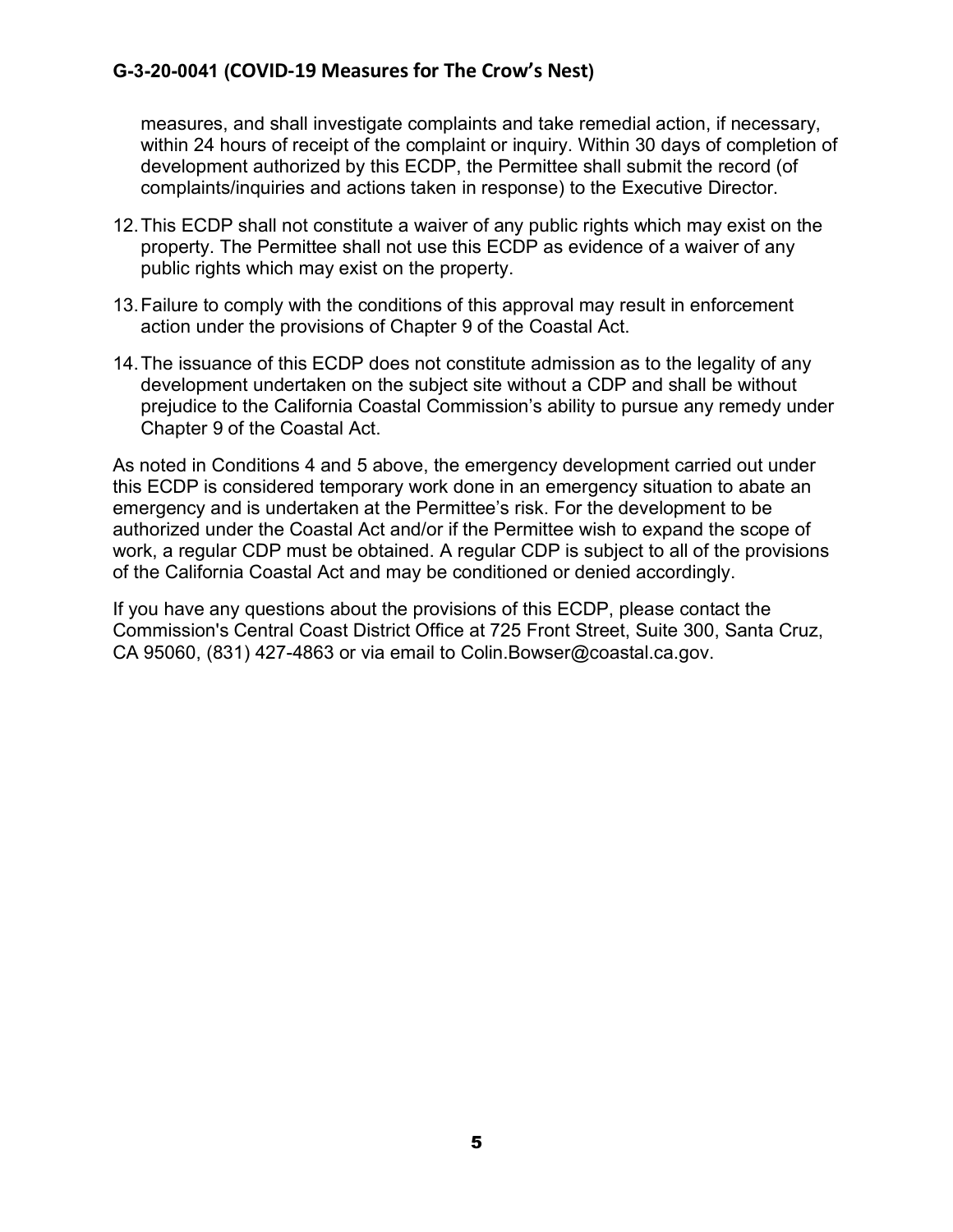measures, and shall investigate complaints and take remedial action, if necessary, within 24 hours of receipt of the complaint or inquiry. Within 30 days of completion of development authorized by this ECDP, the Permittee shall submit the record (of complaints/inquiries and actions taken in response) to the Executive Director.

- 12.This ECDP shall not constitute a waiver of any public rights which may exist on the property. The Permittee shall not use this ECDP as evidence of a waiver of any public rights which may exist on the property.
- 13.Failure to comply with the conditions of this approval may result in enforcement action under the provisions of Chapter 9 of the Coastal Act.
- 14.The issuance of this ECDP does not constitute admission as to the legality of any development undertaken on the subject site without a CDP and shall be without prejudice to the California Coastal Commission's ability to pursue any remedy under Chapter 9 of the Coastal Act.

As noted in Conditions 4 and 5 above, the emergency development carried out under this ECDP is considered temporary work done in an emergency situation to abate an emergency and is undertaken at the Permittee's risk. For the development to be authorized under the Coastal Act and/or if the Permittee wish to expand the scope of work, a regular CDP must be obtained. A regular CDP is subject to all of the provisions of the California Coastal Act and may be conditioned or denied accordingly.

If you have any questions about the provisions of this ECDP, please contact the Commission's Central Coast District Office at 725 Front Street, Suite 300, Santa Cruz, CA 95060, (831) 427-4863 or via email to Colin.Bowser@coastal.ca.gov.